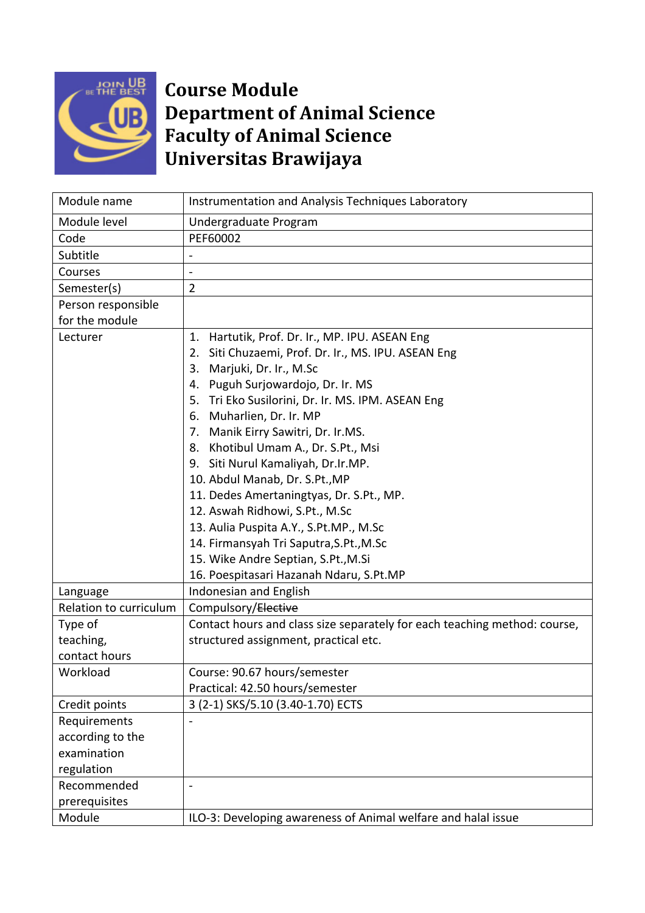

## **Course Module Department of Animal Science Faculty of Animal Science Universitas Brawijaya**

| Module name            | Instrumentation and Analysis Techniques Laboratory                        |
|------------------------|---------------------------------------------------------------------------|
| Module level           | Undergraduate Program                                                     |
| Code                   | PEF60002                                                                  |
| Subtitle               |                                                                           |
| Courses                | $\qquad \qquad \blacksquare$                                              |
| Semester(s)            | $\overline{2}$                                                            |
| Person responsible     |                                                                           |
| for the module         |                                                                           |
| Lecturer               | 1.<br>Hartutik, Prof. Dr. Ir., MP. IPU. ASEAN Eng                         |
|                        | Siti Chuzaemi, Prof. Dr. Ir., MS. IPU. ASEAN Eng<br>2.                    |
|                        | Marjuki, Dr. Ir., M.Sc<br>3.                                              |
|                        | Puguh Surjowardojo, Dr. Ir. MS<br>4.                                      |
|                        | 5. Tri Eko Susilorini, Dr. Ir. MS. IPM. ASEAN Eng                         |
|                        | Muharlien, Dr. Ir. MP<br>6.                                               |
|                        | 7. Manik Eirry Sawitri, Dr. Ir.MS.                                        |
|                        | 8. Khotibul Umam A., Dr. S.Pt., Msi                                       |
|                        | 9. Siti Nurul Kamaliyah, Dr.Ir.MP.                                        |
|                        | 10. Abdul Manab, Dr. S.Pt., MP                                            |
|                        | 11. Dedes Amertaningtyas, Dr. S.Pt., MP.                                  |
|                        | 12. Aswah Ridhowi, S.Pt., M.Sc                                            |
|                        | 13. Aulia Puspita A.Y., S.Pt.MP., M.Sc                                    |
|                        | 14. Firmansyah Tri Saputra, S.Pt., M.Sc                                   |
|                        | 15. Wike Andre Septian, S.Pt., M.Si                                       |
|                        | 16. Poespitasari Hazanah Ndaru, S.Pt.MP                                   |
| Language               | Indonesian and English                                                    |
| Relation to curriculum | Compulsory/Elective                                                       |
| Type of                | Contact hours and class size separately for each teaching method: course, |
| teaching,              | structured assignment, practical etc.                                     |
| contact hours          |                                                                           |
| Workload               | Course: 90.67 hours/semester                                              |
|                        | Practical: 42.50 hours/semester                                           |
| Credit points          | 3 (2-1) SKS/5.10 (3.40-1.70) ECTS                                         |
| Requirements           |                                                                           |
| according to the       |                                                                           |
| examination            |                                                                           |
| regulation             |                                                                           |
| Recommended            | $\overline{a}$                                                            |
| prerequisites          |                                                                           |
| Module                 | ILO-3: Developing awareness of Animal welfare and halal issue             |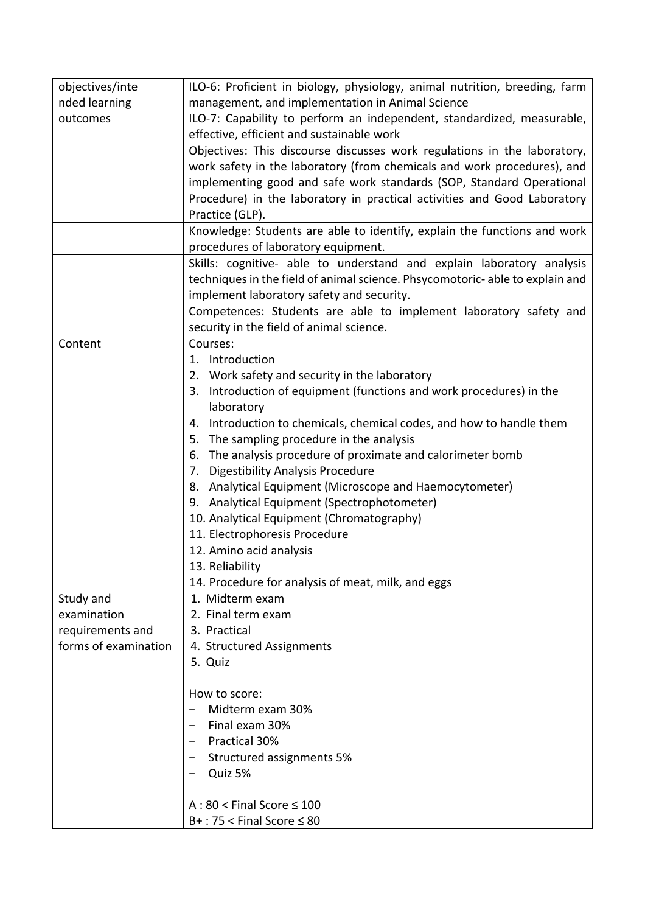| objectives/inte      | ILO-6: Proficient in biology, physiology, animal nutrition, breeding, farm   |
|----------------------|------------------------------------------------------------------------------|
|                      |                                                                              |
| nded learning        | management, and implementation in Animal Science                             |
| outcomes             | ILO-7: Capability to perform an independent, standardized, measurable,       |
|                      | effective, efficient and sustainable work                                    |
|                      | Objectives: This discourse discusses work regulations in the laboratory,     |
|                      | work safety in the laboratory (from chemicals and work procedures), and      |
|                      | implementing good and safe work standards (SOP, Standard Operational         |
|                      | Procedure) in the laboratory in practical activities and Good Laboratory     |
|                      | Practice (GLP).                                                              |
|                      | Knowledge: Students are able to identify, explain the functions and work     |
|                      | procedures of laboratory equipment.                                          |
|                      | Skills: cognitive- able to understand and explain laboratory analysis        |
|                      | techniques in the field of animal science. Phsycomotoric-able to explain and |
|                      | implement laboratory safety and security.                                    |
|                      | Competences: Students are able to implement laboratory safety and            |
|                      | security in the field of animal science.                                     |
| Content              | Courses:                                                                     |
|                      | 1. Introduction                                                              |
|                      | 2. Work safety and security in the laboratory                                |
|                      | 3. Introduction of equipment (functions and work procedures) in the          |
|                      | laboratory                                                                   |
|                      |                                                                              |
|                      | 4. Introduction to chemicals, chemical codes, and how to handle them         |
|                      | The sampling procedure in the analysis<br>5.                                 |
|                      | The analysis procedure of proximate and calorimeter bomb<br>6.               |
|                      | 7. Digestibility Analysis Procedure                                          |
|                      | 8. Analytical Equipment (Microscope and Haemocytometer)                      |
|                      | 9. Analytical Equipment (Spectrophotometer)                                  |
|                      | 10. Analytical Equipment (Chromatography)                                    |
|                      | 11. Electrophoresis Procedure                                                |
|                      | 12. Amino acid analysis                                                      |
|                      | 13. Reliability                                                              |
|                      | 14. Procedure for analysis of meat, milk, and eggs                           |
| Study and            | 1. Midterm exam                                                              |
| examination          | 2. Final term exam                                                           |
| requirements and     | 3. Practical                                                                 |
| forms of examination | 4. Structured Assignments                                                    |
|                      | 5. Quiz                                                                      |
|                      |                                                                              |
|                      | How to score:                                                                |
|                      | Midterm exam 30%                                                             |
|                      | Final exam 30%                                                               |
|                      | Practical 30%                                                                |
|                      | Structured assignments 5%                                                    |
|                      |                                                                              |
|                      | Quiz 5%                                                                      |
|                      | $A:80 <$ Final Score $\leq 100$                                              |
|                      | $B+$ : 75 < Final Score $\leq 80$                                            |
|                      |                                                                              |